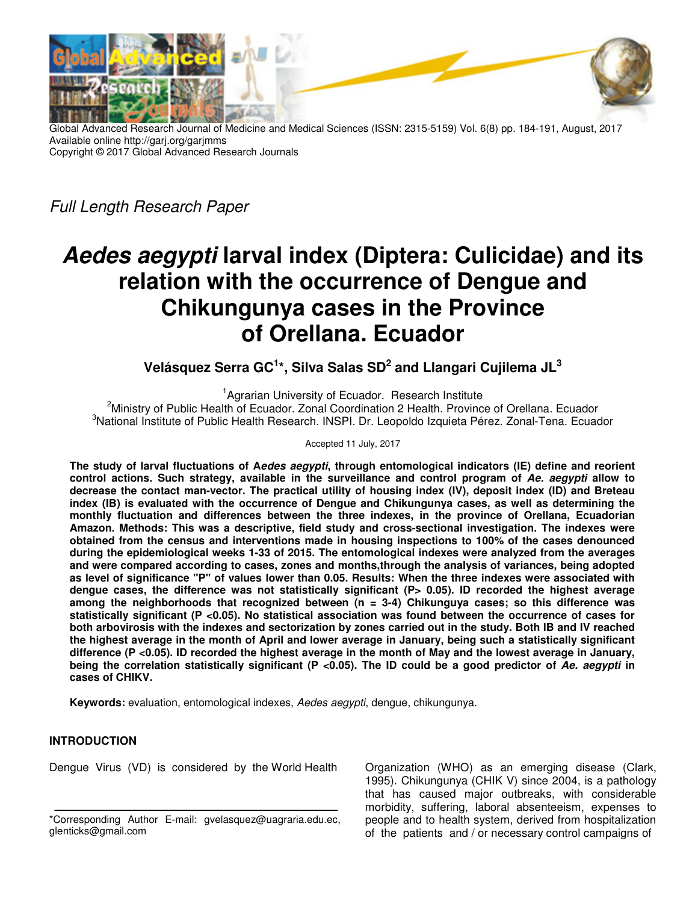

Global Advanced Research Journal of Medicine and Medical Sciences (ISSN: 2315-5159) Vol. 6(8) pp. 184-191, August, 2017 Available online http://garj.org/garjmms Copyright © 2017 Global Advanced Research Journals

Full Length Research Paper

# **Aedes aegypti larval index (Diptera: Culicidae) and its relation with the occurrence of Dengue and Chikungunya cases in the Province of Orellana. Ecuador**

**Velásquez Serra GC<sup>1</sup> \*, Silva Salas SD<sup>2</sup> and Llangari Cujilema JL<sup>3</sup>**

<sup>1</sup>Agrarian University of Ecuador. Research Institute <sup>2</sup>Ministry of Public Health of Ecuador. Zonal Coordination 2 Health. Province of Orellana. Ecuador <sup>3</sup>National Institute of Public Health Research. INSPI. Dr. Leopoldo Izquieta Pérez. Zonal-Tena. Ecuador

Accepted 11 July, 2017

**The study of larval fluctuations of Aedes aegypti, through entomological indicators (IE) define and reorient control actions. Such strategy, available in the surveillance and control program of Ae. aegypti allow to decrease the contact man-vector. The practical utility of housing index (IV), deposit index (ID) and Breteau index (IB) is evaluated with the occurrence of Dengue and Chikungunya cases, as well as determining the monthly fluctuation and differences between the three indexes, in the province of Orellana, Ecuadorian Amazon. Methods: This was a descriptive, field study and cross-sectional investigation. The indexes were obtained from the census and interventions made in housing inspections to 100% of the cases denounced during the epidemiological weeks 1-33 of 2015. The entomological indexes were analyzed from the averages and were compared according to cases, zones and months,through the analysis of variances, being adopted as level of significance "P" of values lower than 0.05. Results: When the three indexes were associated with**  dengue cases, the difference was not statistically significant (P> 0.05). ID recorded the highest average **among the neighborhoods that recognized between (n = 3-4) Chikunguya cases; so this difference was statistically significant (P <0.05). No statistical association was found between the occurrence of cases for both arbovirosis with the indexes and sectorization by zones carried out in the study. Both IB and IV reached the highest average in the month of April and lower average in January, being such a statistically significant difference (P <0.05). ID recorded the highest average in the month of May and the lowest average in January, being the correlation statistically significant (P <0.05). The ID could be a good predictor of Ae. aegypti in cases of CHIKV.** 

**Keywords:** evaluation, entomological indexes, Aedes aegypti, dengue, chikungunya.

## **INTRODUCTION**

Dengue Virus (VD) is considered by the World Health

Organization (WHO) as an emerging disease (Clark, 1995). Chikungunya (CHIK V) since 2004, is a pathology that has caused major outbreaks, with considerable morbidity, suffering, laboral absenteeism, expenses to people and to health system, derived from hospitalization of the patients and / or necessary control campaigns of

<sup>\*</sup>Corresponding Author E-mail: gvelasquez@uagraria.edu.ec, glenticks@gmail.com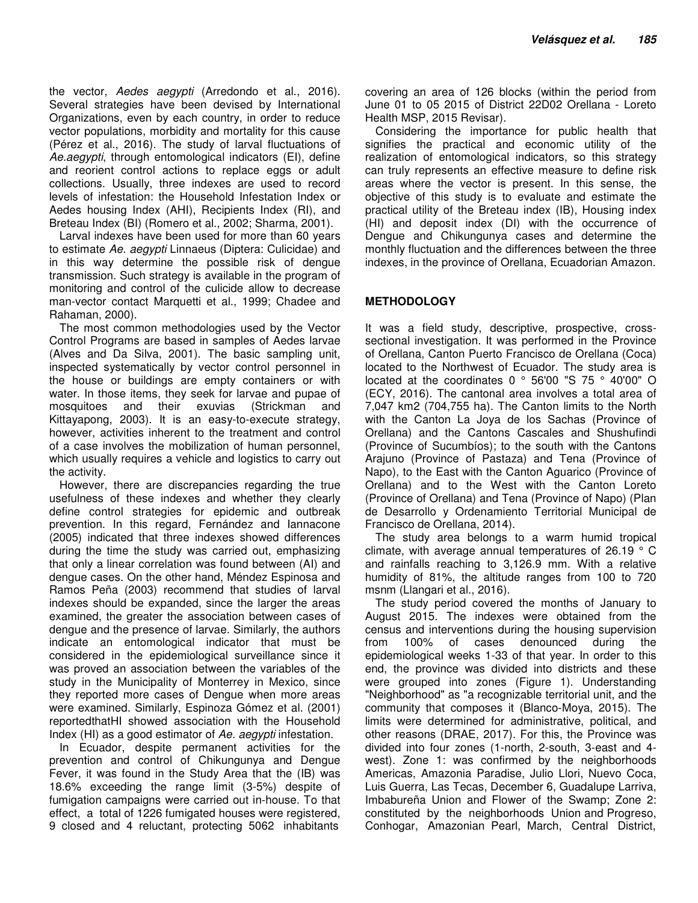the vector, Aedes aegypti (Arredondo et al., 2016). Several strategies have been devised by International Organizations, even by each country, in order to reduce vector populations, morbidity and mortality for this cause (Pérez et al., 2016). The study of larval fluctuations of Ae.aegypti, through entomological indicators (EI), define and reorient control actions to replace eggs or adult collections. Usually, three indexes are used to record levels of infestation: the Household Infestation Index or Aedes housing Index (AHI), Recipients Index (RI), and Breteau Index (BI) (Romero et al., 2002; Sharma, 2001).

Larval indexes have been used for more than 60 years to estimate Ae. aegypti Linnaeus (Diptera: Culicidae) and in this way determine the possible risk of dengue transmission. Such strategy is available in the program of monitoring and control of the culicide allow to decrease man-vector contact Marquetti et al., 1999; Chadee and Rahaman, 2000).

The most common methodologies used by the Vector Control Programs are based in samples of Aedes larvae (Alves and Da Silva, 2001). The basic sampling unit, inspected systematically by vector control personnel in the house or buildings are empty containers or with water. In those items, they seek for larvae and pupae of mosquitoes and their exuvias (Strickman and Kittayapong, 2003). It is an easy-to-execute strategy, however, activities inherent to the treatment and control of a case involves the mobilization of human personnel, which usually requires a vehicle and logistics to carry out the activity.

However, there are discrepancies regarding the true usefulness of these indexes and whether they clearly define control strategies for epidemic and outbreak prevention. In this regard, Fernández and Iannacone (2005) indicated that three indexes showed differences during the time the study was carried out, emphasizing that only a linear correlation was found between (AI) and dengue cases. On the other hand, Méndez Espinosa and Ramos Peña (2003) recommend that studies of larval indexes should be expanded, since the larger the areas examined, the greater the association between cases of dengue and the presence of larvae. Similarly, the authors indicate an entomological indicator that must be considered in the epidemiological surveillance since it was proved an association between the variables of the study in the Municipality of Monterrey in Mexico, since they reported more cases of Dengue when more areas were examined. Similarly, Espinoza Gómez et al. (2001) reportedthatHI showed association with the Household Index (HI) as a good estimator of Ae. aegypti infestation.

In Ecuador, despite permanent activities for the prevention and control of Chikungunya and Dengue Fever, it was found in the Study Area that the (IB) was 18.6% exceeding the range limit (3-5%) despite of fumigation campaigns were carried out in-house. To that effect, a total of 1226 fumigated houses were registered, 9 closed and 4 reluctant, protecting 5062 inhabitants

covering an area of 126 blocks (within the period from June 01 to 05 2015 of District 22D02 Orellana - Loreto Health MSP, 2015 Revisar).

Considering the importance for public health that signifies the practical and economic utility of the realization of entomological indicators, so this strategy can truly represents an effective measure to define risk areas where the vector is present. In this sense, the objective of this study is to evaluate and estimate the practical utility of the Breteau index (IB), Housing index (HI) and deposit index (DI) with the occurrence of Dengue and Chikungunya cases and determine the monthly fluctuation and the differences between the three indexes, in the province of Orellana, Ecuadorian Amazon.

## **METHODOLOGY**

It was a field study, descriptive, prospective, crosssectional investigation. It was performed in the Province of Orellana, Canton Puerto Francisco de Orellana (Coca) located to the Northwest of Ecuador. The study area is located at the coordinates 0 ° 56'00 "S 75 ° 40'00" O (ECY, 2016). The cantonal area involves a total area of 7,047 km2 (704,755 ha). The Canton limits to the North with the Canton La Joya de los Sachas (Province of Orellana) and the Cantons Cascales and Shushufindi (Province of Sucumbíos); to the south with the Cantons Arajuno (Province of Pastaza) and Tena (Province of Napo), to the East with the Canton Aguarico (Province of Orellana) and to the West with the Canton Loreto (Province of Orellana) and Tena (Province of Napo) (Plan de Desarrollo y Ordenamiento Territorial Municipal de Francisco de Orellana, 2014).

The study area belongs to a warm humid tropical climate, with average annual temperatures of 26.19 ° C and rainfalls reaching to 3,126.9 mm. With a relative humidity of 81%, the altitude ranges from 100 to 720 msnm (Llangari et al., 2016).

The study period covered the months of January to August 2015. The indexes were obtained from the census and interventions during the housing supervision from 100% of cases denounced during the epidemiological weeks 1-33 of that year. In order to this end, the province was divided into districts and these were grouped into zones (Figure 1). Understanding "Neighborhood" as "a recognizable territorial unit, and the community that composes it (Blanco-Moya, 2015). The limits were determined for administrative, political, and other reasons (DRAE, 2017). For this, the Province was divided into four zones (1-north, 2-south, 3-east and 4 west). Zone 1: was confirmed by the neighborhoods Americas, Amazonia Paradise, Julio Llori, Nuevo Coca, Luis Guerra, Las Tecas, December 6, Guadalupe Larriva, Imbabureña Union and Flower of the Swamp; Zone 2: constituted by the neighborhoods Union and Progreso, Conhogar, Amazonian Pearl, March, Central District,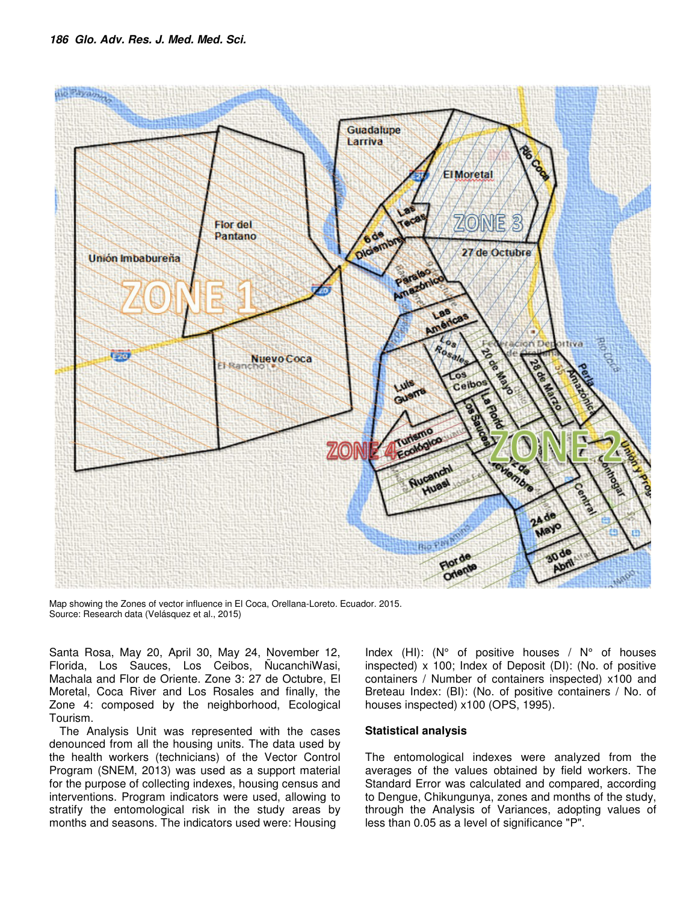

Map showing the Zones of vector influence in El Coca, Orellana-Loreto. Ecuador. 2015. Source: Research data (Velásquez et al., 2015)

Santa Rosa, May 20, April 30, May 24, November 12, Florida, Los Sauces, Los Ceibos, ÑucanchiWasi, Machala and Flor de Oriente. Zone 3: 27 de Octubre, El Moretal, Coca River and Los Rosales and finally, the Zone 4: composed by the neighborhood, Ecological Tourism.

The Analysis Unit was represented with the cases denounced from all the housing units. The data used by the health workers (technicians) of the Vector Control Program (SNEM, 2013) was used as a support material for the purpose of collecting indexes, housing census and interventions. Program indicators were used, allowing to stratify the entomological risk in the study areas by months and seasons. The indicators used were: Housing

Index (HI): ( $N^{\circ}$  of positive houses /  $N^{\circ}$  of houses inspected) x 100; Index of Deposit (DI): (No. of positive containers / Number of containers inspected) x100 and Breteau Index: (BI): (No. of positive containers / No. of houses inspected) x100 (OPS, 1995).

### **Statistical analysis**

The entomological indexes were analyzed from the averages of the values obtained by field workers. The Standard Error was calculated and compared, according to Dengue, Chikungunya, zones and months of the study, through the Analysis of Variances, adopting values of less than 0.05 as a level of significance "P".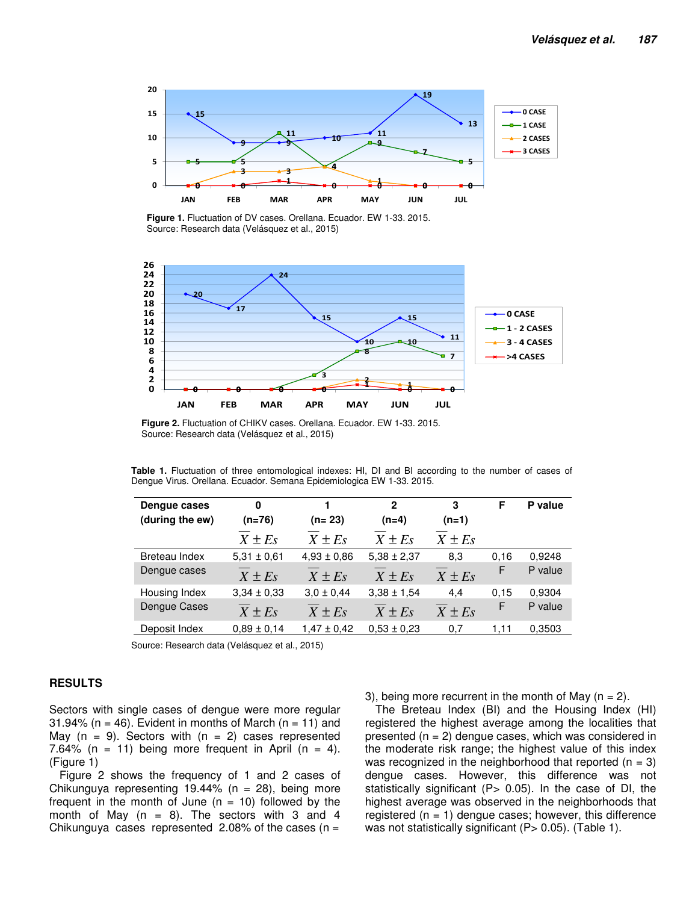

**Figure 1.** Fluctuation of DV cases. Orellana. Ecuador. EW 1-33. 2015. Source: Research data (Velásquez et al., 2015)



**Figure 2.** Fluctuation of CHIKV cases. Orellana. Ecuador. EW 1-33. 2015. Source: Research data (Velásquez et al., 2015)

|  | <b>Table 1.</b> Fluctuation of three entomological indexes: HI, DI and BI according to the number of cases of |  |  |  |  |  |  |  |  |
|--|---------------------------------------------------------------------------------------------------------------|--|--|--|--|--|--|--|--|
|  | Dengue Virus. Orellana. Ecuador. Semana Epidemiologica EW 1-33. 2015.                                         |  |  |  |  |  |  |  |  |

| Dengue cases<br>(during the ew) | 0<br>(n=76)     | $(n=23)$        | $\mathbf{2}$<br>$(n=4)$ | 3<br>$(n=1)$ | F    | P value |
|---------------------------------|-----------------|-----------------|-------------------------|--------------|------|---------|
|                                 | $X \pm Es$      | $X \pm Es$      | $X \pm Es$              | $X \pm Es$   |      |         |
| Breteau Index                   | $5.31 \pm 0.61$ | $4.93 \pm 0.86$ | $5.38 \pm 2.37$         | 8.3          | 0,16 | 0,9248  |
| Dengue cases                    | $X \pm Es$      | $X \pm Es$      | $X \pm Es$              | $X \pm Es$   | F    | P value |
| Housing Index                   | $3.34 \pm 0.33$ | $3.0 \pm 0.44$  | $3.38 \pm 1.54$         | 4.4          | 0,15 | 0.9304  |
| Dengue Cases                    | $X \pm Es$      | $X \pm E_s$     | $X \pm Es$              | $X \pm Es$   | F    | P value |
| Deposit Index                   | $0.89 \pm 0.14$ | $1,47 \pm 0.42$ | $0,53 \pm 0,23$         | 0,7          | 1.11 | 0,3503  |

Source: Research data (Velásquez et al., 2015)

#### **RESULTS**

Sectors with single cases of dengue were more regular 31.94% ( $n = 46$ ). Evident in months of March ( $n = 11$ ) and May  $(n = 9)$ . Sectors with  $(n = 2)$  cases represented 7.64% (n = 11) being more frequent in April (n = 4). (Figure 1)

Figure 2 shows the frequency of 1 and 2 cases of Chikunguya representing 19.44% ( $n = 28$ ), being more frequent in the month of June  $(n = 10)$  followed by the month of May  $(n = 8)$ . The sectors with 3 and 4 Chikunguya cases represented 2.08% of the cases ( $n =$ 

3), being more recurrent in the month of May  $(n = 2)$ .

The Breteau Index (BI) and the Housing Index (HI) registered the highest average among the localities that presented  $(n = 2)$  dengue cases, which was considered in the moderate risk range; the highest value of this index was recognized in the neighborhood that reported  $(n = 3)$ dengue cases. However, this difference was not statistically significant ( $P$ > 0.05). In the case of DI, the highest average was observed in the neighborhoods that registered  $(n = 1)$  dengue cases; however, this difference was not statistically significant (P> 0.05). (Table 1).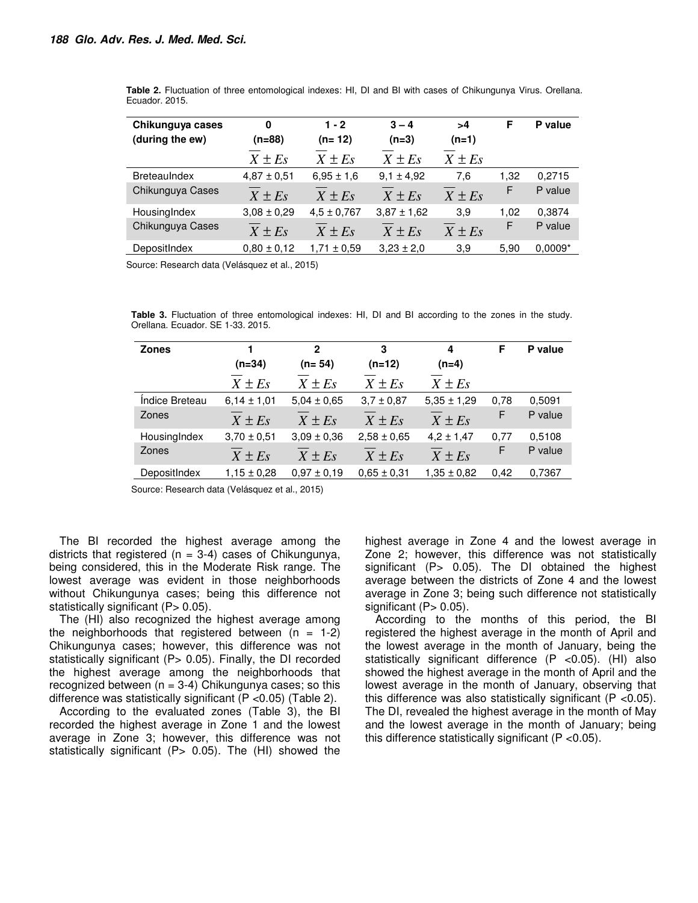| Chikunguya cases<br>(during the ew) | 0<br>(n=88)     | $1 - 2$<br>$(n=12)$ | $3 - 4$<br>$(n=3)$ | >4<br>$(n=1)$ | F    | P value   |
|-------------------------------------|-----------------|---------------------|--------------------|---------------|------|-----------|
|                                     | $X \pm Es$      | $X \pm E_s$         | $X \pm Es$         | $X \pm Es$    |      |           |
| <b>BreteauIndex</b>                 | $4,87 \pm 0,51$ | $6,95 \pm 1,6$      | $9.1 \pm 4.92$     | 7.6           | 1,32 | 0,2715    |
| Chikunguya Cases                    | $X \pm Es$      | $X \pm Es$          | $X \pm Es$         | $X \pm Es$    | F    | P value   |
| HousingIndex                        | $3,08 \pm 0,29$ | $4.5 \pm 0.767$     | $3.87 \pm 1.62$    | 3.9           | 1,02 | 0.3874    |
| Chikunguya Cases                    | $X \pm Es$      | $X \pm Es$          | $X \pm Es$         | $X \pm Es$    | F    | P value   |
| DepositIndex                        | $0.80 \pm 0.12$ | 1,71 ± 0,59         | $3,23 \pm 2,0$     | 3.9           | 5,90 | $0.0009*$ |

**Table 2.** Fluctuation of three entomological indexes: HI, DI and BI with cases of Chikungunya Virus. Orellana. Ecuador. 2015.

Source: Research data (Velásquez et al., 2015)

**Table 3.** Fluctuation of three entomological indexes: HI, DI and BI according to the zones in the study. Orellana. Ecuador. SE 1-33. 2015.

| <b>Zones</b>   |                 | 2               | 3               | 4               | F    | P value |
|----------------|-----------------|-----------------|-----------------|-----------------|------|---------|
|                | $(n=34)$        | $(n=54)$        | $(n=12)$        | $(n=4)$         |      |         |
|                | $X \pm Es$      | $X \pm Es$      | $X \pm Es$      | $X \pm Es$      |      |         |
| Indice Breteau | $6.14 \pm 1.01$ | $5.04 \pm 0.65$ | $3.7 \pm 0.87$  | $5,35 \pm 1,29$ | 0,78 | 0.5091  |
| Zones          | $X \pm Es$      | $X \pm Es$      | $X \pm Es$      | $X \pm Es$      | F    | P value |
| HousingIndex   | $3.70 \pm 0.51$ | $3.09 \pm 0.36$ | $2,58 \pm 0.65$ | $4,2 \pm 1,47$  | 0,77 | 0,5108  |
| Zones          | $X \pm Es$      | $X \pm Es$      | $X \pm Es$      | $X \pm Es$      | F    | P value |
| DepositIndex   | $1.15 \pm 0.28$ | $0.97 \pm 0.19$ | $0.65 \pm 0.31$ | $1.35 \pm 0.82$ | 0.42 | 0,7367  |

Source: Research data (Velásquez et al., 2015)

The BI recorded the highest average among the districts that registered ( $n = 3-4$ ) cases of Chikungunya, being considered, this in the Moderate Risk range. The lowest average was evident in those neighborhoods without Chikungunya cases; being this difference not statistically significant  $(P> 0.05)$ .

The (HI) also recognized the highest average among the neighborhoods that registered between  $(n = 1-2)$ Chikungunya cases; however, this difference was not statistically significant (P> 0.05). Finally, the DI recorded the highest average among the neighborhoods that recognized between  $(n = 3-4)$  Chikungunya cases; so this difference was statistically significant (P <0.05) (Table 2).

According to the evaluated zones (Table 3), the BI recorded the highest average in Zone 1 and the lowest average in Zone 3; however, this difference was not statistically significant (P $> 0.05$ ). The (HI) showed the highest average in Zone 4 and the lowest average in Zone 2; however, this difference was not statistically significant (P > 0.05). The DI obtained the highest average between the districts of Zone 4 and the lowest average in Zone 3; being such difference not statistically significant  $(P> 0.05)$ .

According to the months of this period, the BI registered the highest average in the month of April and the lowest average in the month of January, being the statistically significant difference (P <0.05). (HI) also showed the highest average in the month of April and the lowest average in the month of January, observing that this difference was also statistically significant (P <0.05). The DI, revealed the highest average in the month of May and the lowest average in the month of January; being this difference statistically significant (P <0.05).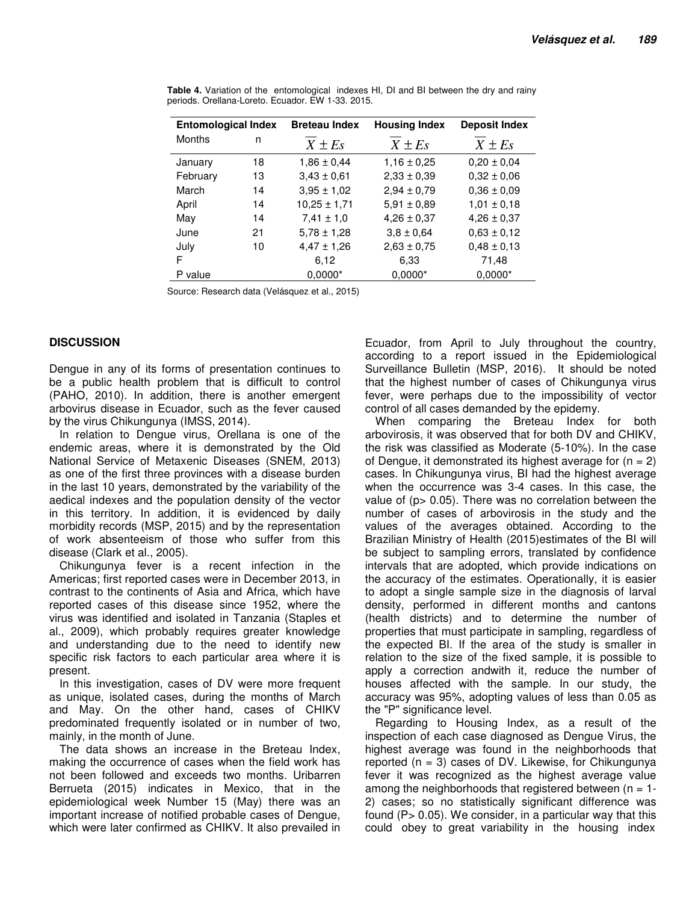| <b>Entomological Index</b> |    | <b>Breteau Index</b> | <b>Housing Index</b> | <b>Deposit Index</b> |  |
|----------------------------|----|----------------------|----------------------|----------------------|--|
| <b>Months</b>              | n  | $X \pm Es$           | $X \pm Es$           | $X \pm Es$           |  |
| January                    | 18 | $1,86 \pm 0.44$      | $1,16 \pm 0.25$      | $0.20 \pm 0.04$      |  |
| February                   | 13 | $3,43 \pm 0,61$      | $2,33 \pm 0,39$      | $0,32 \pm 0,06$      |  |
| March                      | 14 | $3.95 \pm 1.02$      | $2,94 \pm 0.79$      | $0.36 \pm 0.09$      |  |
| April                      | 14 | $10,25 \pm 1,71$     | $5.91 \pm 0.89$      | $1.01 \pm 0.18$      |  |
| May                        | 14 | $7,41 \pm 1,0$       | $4,26 \pm 0.37$      | $4,26 \pm 0,37$      |  |
| June                       | 21 | $5.78 \pm 1.28$      | $3.8 \pm 0.64$       | $0.63 \pm 0.12$      |  |
| July                       | 10 | $4,47 \pm 1,26$      | $2,63 \pm 0,75$      | $0,48 \pm 0,13$      |  |
| F                          |    | 6.12                 | 6,33                 | 71,48                |  |
| P value                    |    | $0.0000*$            | $0.0000*$            | $0.0000*$            |  |

**Table 4.** Variation of the entomological indexes HI, DI and BI between the dry and rainy periods. Orellana-Loreto. Ecuador. EW 1-33. 2015.

Source: Research data (Velásquez et al., 2015)

### **DISCUSSION**

Dengue in any of its forms of presentation continues to be a public health problem that is difficult to control (PAHO, 2010). In addition, there is another emergent arbovirus disease in Ecuador, such as the fever caused by the virus Chikungunya (IMSS, 2014).

In relation to Dengue virus, Orellana is one of the endemic areas, where it is demonstrated by the Old National Service of Metaxenic Diseases (SNEM, 2013) as one of the first three provinces with a disease burden in the last 10 years, demonstrated by the variability of the aedical indexes and the population density of the vector in this territory. In addition, it is evidenced by daily morbidity records (MSP, 2015) and by the representation of work absenteeism of those who suffer from this disease (Clark et al., 2005).

Chikungunya fever is a recent infection in the Americas; first reported cases were in December 2013, in contrast to the continents of Asia and Africa, which have reported cases of this disease since 1952, where the virus was identified and isolated in Tanzania (Staples et al., 2009), which probably requires greater knowledge and understanding due to the need to identify new specific risk factors to each particular area where it is present.

In this investigation, cases of DV were more frequent as unique, isolated cases, during the months of March and May. On the other hand, cases of CHIKV predominated frequently isolated or in number of two, mainly, in the month of June.

The data shows an increase in the Breteau Index, making the occurrence of cases when the field work has not been followed and exceeds two months. Uribarren Berrueta (2015) indicates in Mexico, that in the epidemiological week Number 15 (May) there was an important increase of notified probable cases of Dengue, which were later confirmed as CHIKV. It also prevailed in Ecuador, from April to July throughout the country, according to a report issued in the Epidemiological Surveillance Bulletin (MSP, 2016). It should be noted that the highest number of cases of Chikungunya virus fever, were perhaps due to the impossibility of vector control of all cases demanded by the epidemy.

When comparing the Breteau Index for both arbovirosis, it was observed that for both DV and CHIKV, the risk was classified as Moderate (5-10%). In the case of Dengue, it demonstrated its highest average for  $(n = 2)$ cases. In Chikungunya virus, BI had the highest average when the occurrence was 3-4 cases. In this case, the value of (p> 0.05). There was no correlation between the number of cases of arbovirosis in the study and the values of the averages obtained. According to the Brazilian Ministry of Health (2015)estimates of the BI will be subject to sampling errors, translated by confidence intervals that are adopted, which provide indications on the accuracy of the estimates. Operationally, it is easier to adopt a single sample size in the diagnosis of larval density, performed in different months and cantons (health districts) and to determine the number of properties that must participate in sampling, regardless of the expected BI. If the area of the study is smaller in relation to the size of the fixed sample, it is possible to apply a correction andwith it, reduce the number of houses affected with the sample. In our study, the accuracy was 95%, adopting values of less than 0.05 as the "P" significance level.

Regarding to Housing Index, as a result of the inspection of each case diagnosed as Dengue Virus, the highest average was found in the neighborhoods that reported  $(n = 3)$  cases of DV. Likewise, for Chikungunya fever it was recognized as the highest average value among the neighborhoods that registered between  $(n = 1 -$ 2) cases; so no statistically significant difference was found (P> 0.05). We consider, in a particular way that this could obey to great variability in the housing index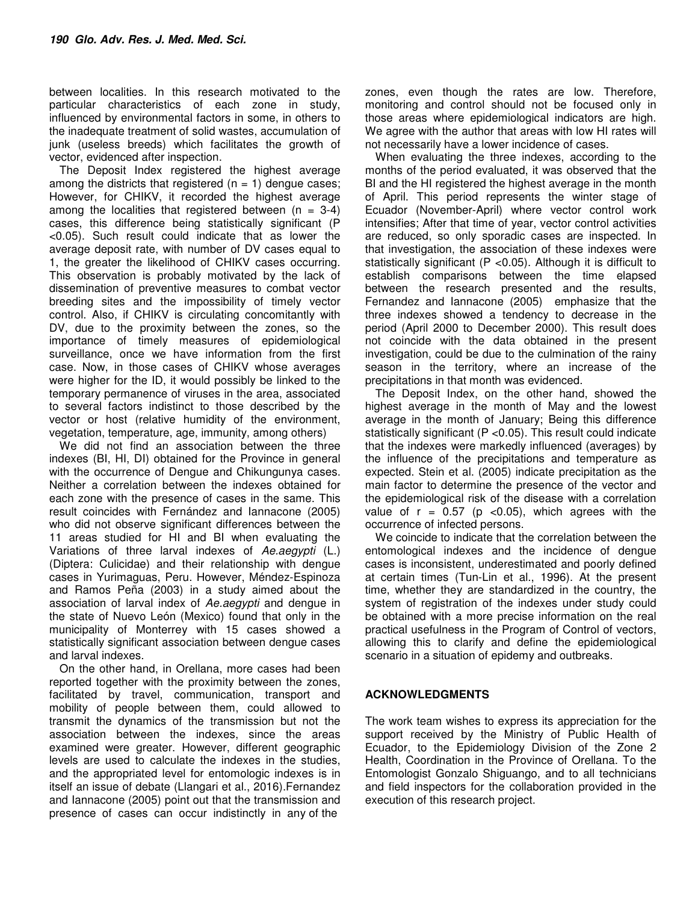between localities. In this research motivated to the particular characteristics of each zone in study, influenced by environmental factors in some, in others to the inadequate treatment of solid wastes, accumulation of junk (useless breeds) which facilitates the growth of vector, evidenced after inspection.

The Deposit Index registered the highest average among the districts that registered  $(n = 1)$  dengue cases; However, for CHIKV, it recorded the highest average among the localities that registered between  $(n = 3-4)$ cases, this difference being statistically significant (P <0.05). Such result could indicate that as lower the average deposit rate, with number of DV cases equal to 1, the greater the likelihood of CHIKV cases occurring. This observation is probably motivated by the lack of dissemination of preventive measures to combat vector breeding sites and the impossibility of timely vector control. Also, if CHIKV is circulating concomitantly with DV, due to the proximity between the zones, so the importance of timely measures of epidemiological surveillance, once we have information from the first case. Now, in those cases of CHIKV whose averages were higher for the ID, it would possibly be linked to the temporary permanence of viruses in the area, associated to several factors indistinct to those described by the vector or host (relative humidity of the environment, vegetation, temperature, age, immunity, among others)

We did not find an association between the three indexes (BI, HI, DI) obtained for the Province in general with the occurrence of Dengue and Chikungunya cases. Neither a correlation between the indexes obtained for each zone with the presence of cases in the same. This result coincides with Fernández and Iannacone (2005) who did not observe significant differences between the 11 areas studied for HI and BI when evaluating the Variations of three larval indexes of Ae.aegypti (L.) (Diptera: Culicidae) and their relationship with dengue cases in Yurimaguas, Peru. However, Méndez-Espinoza and Ramos Peña (2003) in a study aimed about the association of larval index of Ae.aegypti and dengue in the state of Nuevo León (Mexico) found that only in the municipality of Monterrey with 15 cases showed a statistically significant association between dengue cases and larval indexes.

On the other hand, in Orellana, more cases had been reported together with the proximity between the zones, facilitated by travel, communication, transport and mobility of people between them, could allowed to transmit the dynamics of the transmission but not the association between the indexes, since the areas examined were greater. However, different geographic levels are used to calculate the indexes in the studies, and the appropriated level for entomologic indexes is in itself an issue of debate (Llangari et al., 2016).Fernandez and Iannacone (2005) point out that the transmission and presence of cases can occur indistinctly in any of the

zones, even though the rates are low. Therefore, monitoring and control should not be focused only in those areas where epidemiological indicators are high. We agree with the author that areas with low HI rates will not necessarily have a lower incidence of cases.

When evaluating the three indexes, according to the months of the period evaluated, it was observed that the BI and the HI registered the highest average in the month of April. This period represents the winter stage of Ecuador (November-April) where vector control work intensifies; After that time of year, vector control activities are reduced, so only sporadic cases are inspected. In that investigation, the association of these indexes were statistically significant (P <0.05). Although it is difficult to establish comparisons between the time elapsed between the research presented and the results, Fernandez and Iannacone (2005) emphasize that the three indexes showed a tendency to decrease in the period (April 2000 to December 2000). This result does not coincide with the data obtained in the present investigation, could be due to the culmination of the rainy season in the territory, where an increase of the precipitations in that month was evidenced.

The Deposit Index, on the other hand, showed the highest average in the month of May and the lowest average in the month of January; Being this difference statistically significant (P <0.05). This result could indicate that the indexes were markedly influenced (averages) by the influence of the precipitations and temperature as expected. Stein et al. (2005) indicate precipitation as the main factor to determine the presence of the vector and the epidemiological risk of the disease with a correlation value of  $r = 0.57$  (p < 0.05), which agrees with the occurrence of infected persons.

We coincide to indicate that the correlation between the entomological indexes and the incidence of dengue cases is inconsistent, underestimated and poorly defined at certain times (Tun-Lin et al., 1996). At the present time, whether they are standardized in the country, the system of registration of the indexes under study could be obtained with a more precise information on the real practical usefulness in the Program of Control of vectors, allowing this to clarify and define the epidemiological scenario in a situation of epidemy and outbreaks.

## **ACKNOWLEDGMENTS**

The work team wishes to express its appreciation for the support received by the Ministry of Public Health of Ecuador, to the Epidemiology Division of the Zone 2 Health, Coordination in the Province of Orellana. To the Entomologist Gonzalo Shiguango, and to all technicians and field inspectors for the collaboration provided in the execution of this research project.